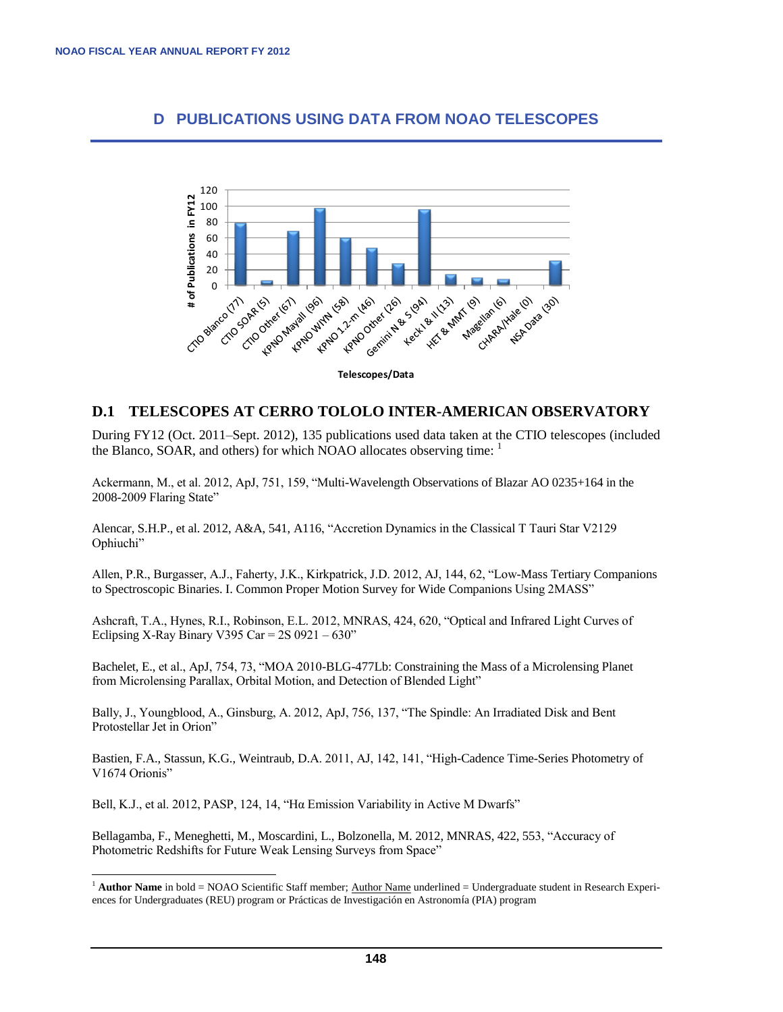## **D PUBLICATIONS USING DATA FROM NOAO TELESCOPES**



**Telescopes/Data**

## **D.1 TELESCOPES AT CERRO TOLOLO INTER-AMERICAN OBSERVATORY**

During FY12 (Oct. 2011–Sept. 2012), 135 publications used data taken at the CTIO telescopes (included the Blanco, SOAR, and others) for which NOAO allocates observing time: <sup>1</sup>

Ackermann, M., et al. 2012, ApJ, 751, 159, "Multi-Wavelength Observations of Blazar AO 0235+164 in the 2008-2009 Flaring State"

Alencar, S.H.P., et al. 2012, A&A, 541, A116, "Accretion Dynamics in the Classical T Tauri Star V2129 Ophiuchi"

Allen, P.R., Burgasser, A.J., Faherty, J.K., Kirkpatrick, J.D. 2012, AJ, 144, 62, "Low-Mass Tertiary Companions to Spectroscopic Binaries. I. Common Proper Motion Survey for Wide Companions Using 2MASS"

Ashcraft, T.A., Hynes, R.I., Robinson, E.L. 2012, MNRAS, 424, 620, "Optical and Infrared Light Curves of Eclipsing X-Ray Binary V395 Car =  $2S$  0921 – 630"

Bachelet, E., et al., ApJ, 754, 73, "MOA 2010-BLG-477Lb: Constraining the Mass of a Microlensing Planet from Microlensing Parallax, Orbital Motion, and Detection of Blended Light"

Bally, J., Youngblood, A., Ginsburg, A. 2012, ApJ, 756, 137, "The Spindle: An Irradiated Disk and Bent Protostellar Jet in Orion"

Bastien, F.A., Stassun, K.G., Weintraub, D.A. 2011, AJ, 142, 141, "High-Cadence Time-Series Photometry of V1674 Orionis"

Bell, K.J., et al. 2012, PASP, 124, 14, "Hα Emission Variability in Active M Dwarfs"

l

Bellagamba, F., Meneghetti, M., Moscardini, L., Bolzonella, M. 2012, MNRAS, 422, 553, "Accuracy of Photometric Redshifts for Future Weak Lensing Surveys from Space"

 $1$  **Author Name** in bold = NOAO Scientific Staff member; Author Name underlined = Undergraduate student in Research Experiences for Undergraduates (REU) program or Prácticas de Investigación en Astronomía (PIA) program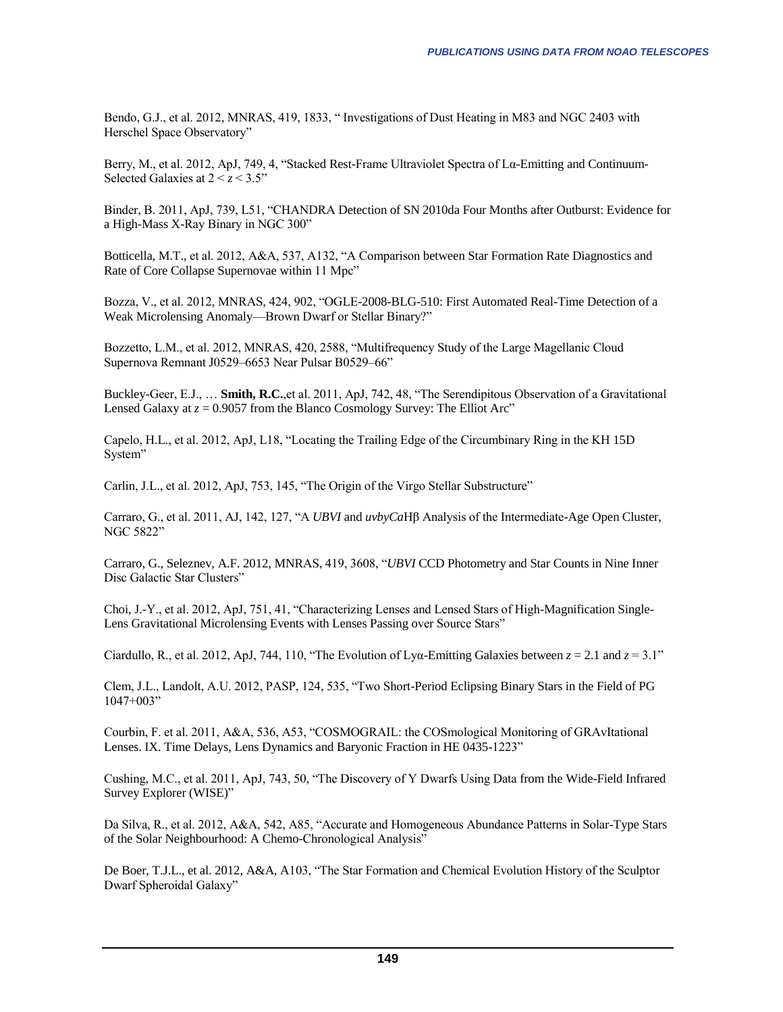Bendo, G.J., et al. 2012, MNRAS, 419, 1833, " Investigations of Dust Heating in M83 and NGC 2403 with Herschel Space Observatory"

Berry, M., et al. 2012, ApJ, 749, 4, "Stacked Rest-Frame Ultraviolet Spectra of Lα-Emitting and Continuum-Selected Galaxies at  $2 < z < 3.5$ "

Binder, B. 2011, ApJ, 739, L51, "CHANDRA Detection of SN 2010da Four Months after Outburst: Evidence for a High-Mass X-Ray Binary in NGC 300"

Botticella, M.T., et al. 2012, A&A, 537, A132, "A Comparison between Star Formation Rate Diagnostics and Rate of Core Collapse Supernovae within 11 Mpc"

Bozza, V., et al. 2012, MNRAS, 424, 902, "OGLE-2008-BLG-510: First Automated Real-Time Detection of a Weak Microlensing Anomaly—Brown Dwarf or Stellar Binary?"

Bozzetto, L.M., et al. 2012, MNRAS, 420, 2588, "Multifrequency Study of the Large Magellanic Cloud Supernova Remnant J0529–6653 Near Pulsar B0529–66"

Buckley-Geer, E.J., … **Smith, R.C.**,et al. 2011, ApJ, 742, 48, "The Serendipitous Observation of a Gravitational Lensed Galaxy at  $z = 0.9057$  from the Blanco Cosmology Survey: The Elliot Arc"

Capelo, H.L., et al. 2012, ApJ, L18, "Locating the Trailing Edge of the Circumbinary Ring in the KH 15D System"

Carlin, J.L., et al. 2012, ApJ, 753, 145, "The Origin of the Virgo Stellar Substructure"

Carraro, G., et al. 2011, AJ, 142, 127, "A *UBVI* and *uvbyCa*Hβ Analysis of the Intermediate-Age Open Cluster, NGC 5822"

Carraro, G., Seleznev, A.F. 2012, MNRAS, 419, 3608, "*UBVI* CCD Photometry and Star Counts in Nine Inner Disc Galactic Star Clusters"

Choi, J.-Y., et al. 2012, ApJ, 751, 41, "Characterizing Lenses and Lensed Stars of High-Magnification Single-Lens Gravitational Microlensing Events with Lenses Passing over Source Stars"

Ciardullo, R., et al. 2012, ApJ, 744, 110, "The Evolution of Lya-Emitting Galaxies between  $z = 2.1$  and  $z = 3.1$ "

Clem, J.L., Landolt, A.U. 2012, PASP, 124, 535, "Two Short-Period Eclipsing Binary Stars in the Field of PG 1047+003"

Courbin, F. et al. 2011, A&A, 536, A53, "COSMOGRAIL: the COSmological Monitoring of GRAvItational Lenses. IX. Time Delays, Lens Dynamics and Baryonic Fraction in HE 0435-1223"

Cushing, M.C., et al. 2011, ApJ, 743, 50, "The Discovery of Y Dwarfs Using Data from the Wide-Field Infrared Survey Explorer (WISE)"

Da Silva, R., et al. 2012, A&A, 542, A85, "Accurate and Homogeneous Abundance Patterns in Solar-Type Stars of the Solar Neighbourhood: A Chemo-Chronological Analysis"

De Boer, T.J.L., et al. 2012, A&A, A103, "The Star Formation and Chemical Evolution History of the Sculptor Dwarf Spheroidal Galaxy"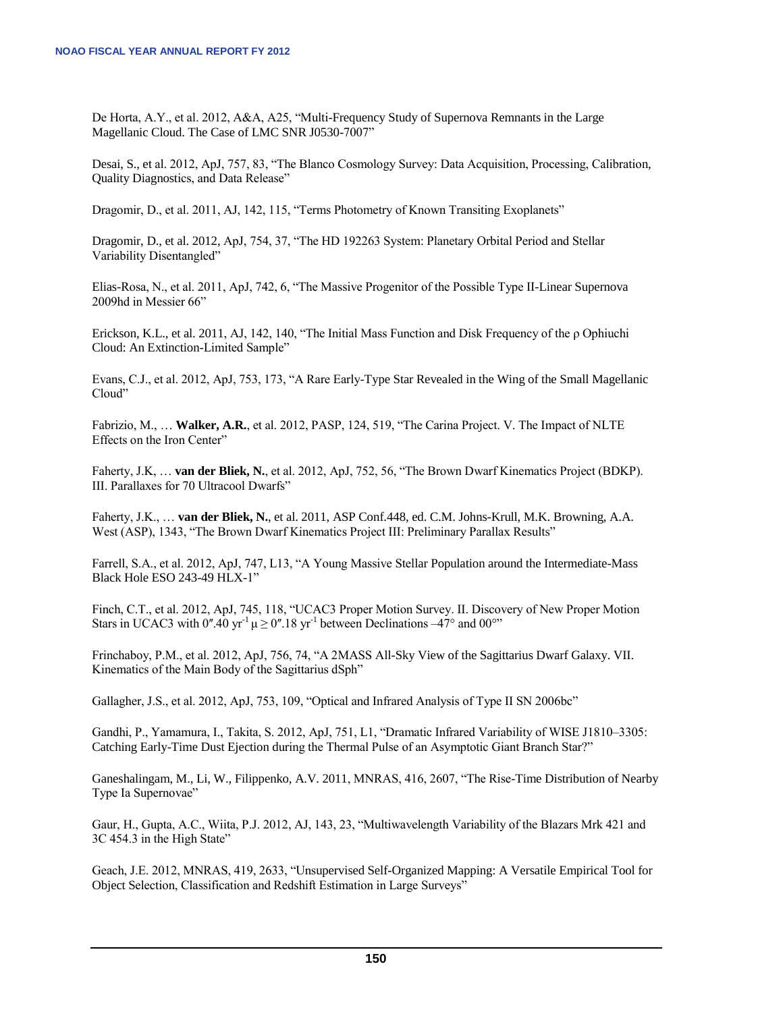De Horta, A.Y., et al. 2012, A&A, A25, "Multi-Frequency Study of Supernova Remnants in the Large Magellanic Cloud. The Case of LMC SNR J0530-7007"

Desai, S., et al. 2012, ApJ, 757, 83, "The Blanco Cosmology Survey: Data Acquisition, Processing, Calibration, Quality Diagnostics, and Data Release"

Dragomir, D., et al. 2011, AJ, 142, 115, "Terms Photometry of Known Transiting Exoplanets"

Dragomir, D., et al. 2012, ApJ, 754, 37, "The HD 192263 System: Planetary Orbital Period and Stellar Variability Disentangled"

Elias-Rosa, N., et al. 2011, ApJ, 742, 6, "The Massive Progenitor of the Possible Type II-Linear Supernova 2009hd in Messier 66"

Erickson, K.L., et al. 2011, AJ, 142, 140, "The Initial Mass Function and Disk Frequency of the ρ Ophiuchi Cloud: An Extinction-Limited Sample"

Evans, C.J., et al. 2012, ApJ, 753, 173, "A Rare Early-Type Star Revealed in the Wing of the Small Magellanic Cloud"

Fabrizio, M., … **Walker, A.R.**, et al. 2012, PASP, 124, 519, "The Carina Project. V. The Impact of NLTE Effects on the Iron Center"

Faherty, J.K, … **van der Bliek, N.**, et al. 2012, ApJ, 752, 56, "The Brown Dwarf Kinematics Project (BDKP). III. Parallaxes for 70 Ultracool Dwarfs"

Faherty, J.K., … **van der Bliek, N.**, et al. 2011, ASP Conf.448, ed. C.M. Johns-Krull, M.K. Browning, A.A. West (ASP), 1343, "The Brown Dwarf Kinematics Project III: Preliminary Parallax Results"

Farrell, S.A., et al. 2012, ApJ, 747, L13, "A Young Massive Stellar Population around the Intermediate-Mass Black Hole ESO 243-49 HLX-1"

Finch, C.T., et al. 2012, ApJ, 745, 118, "UCAC3 Proper Motion Survey. II. Discovery of New Proper Motion Stars in UCAC3 with 0".40 yr<sup>-1</sup>  $\mu \ge 0$ ".18 yr<sup>-1</sup> between Declinations –47° and 00°"

Frinchaboy, P.M., et al. 2012, ApJ, 756, 74, "A 2MASS All-Sky View of the Sagittarius Dwarf Galaxy. VII. Kinematics of the Main Body of the Sagittarius dSph"

Gallagher, J.S., et al. 2012, ApJ, 753, 109, "Optical and Infrared Analysis of Type II SN 2006bc"

Gandhi, P., Yamamura, I., Takita, S. 2012, ApJ, 751, L1, "Dramatic Infrared Variability of WISE J1810–3305: Catching Early-Time Dust Ejection during the Thermal Pulse of an Asymptotic Giant Branch Star?"

Ganeshalingam, M., Li, W., Filippenko, A.V. 2011, MNRAS, 416, 2607, "The Rise-Time Distribution of Nearby Type Ia Supernovae"

Gaur, H., Gupta, A.C., Wiita, P.J. 2012, AJ, 143, 23, "Multiwavelength Variability of the Blazars Mrk 421 and 3C 454.3 in the High State"

Geach, J.E. 2012, MNRAS, 419, 2633, "Unsupervised Self-Organized Mapping: A Versatile Empirical Tool for Object Selection, Classification and Redshift Estimation in Large Surveys"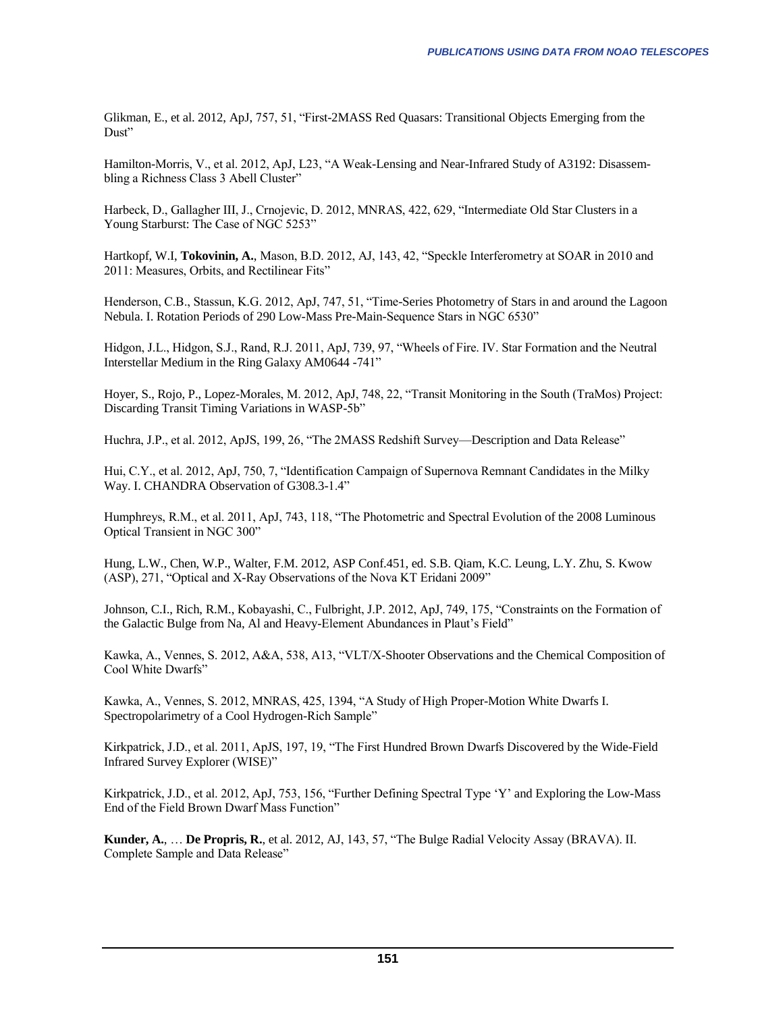Glikman, E., et al. 2012, ApJ, 757, 51, "First-2MASS Red Quasars: Transitional Objects Emerging from the Dust"

Hamilton-Morris, V., et al. 2012, ApJ, L23, "A Weak-Lensing and Near-Infrared Study of A3192: Disassembling a Richness Class 3 Abell Cluster"

Harbeck, D., Gallagher III, J., Crnojevic, D. 2012, MNRAS, 422, 629, "Intermediate Old Star Clusters in a Young Starburst: The Case of NGC 5253"

Hartkopf, W.I, **Tokovinin, A.**, Mason, B.D. 2012, AJ, 143, 42, "Speckle Interferometry at SOAR in 2010 and 2011: Measures, Orbits, and Rectilinear Fits"

Henderson, C.B., Stassun, K.G. 2012, ApJ, 747, 51, "Time-Series Photometry of Stars in and around the Lagoon Nebula. I. Rotation Periods of 290 Low-Mass Pre-Main-Sequence Stars in NGC 6530"

Hidgon, J.L., Hidgon, S.J., Rand, R.J. 2011, ApJ, 739, 97, "Wheels of Fire. IV. Star Formation and the Neutral Interstellar Medium in the Ring Galaxy AM0644 -741"

Hoyer, S., Rojo, P., Lopez-Morales, M. 2012, ApJ, 748, 22, "Transit Monitoring in the South (TraMos) Project: Discarding Transit Timing Variations in WASP-5b"

Huchra, J.P., et al. 2012, ApJS, 199, 26, "The 2MASS Redshift Survey—Description and Data Release"

Hui, C.Y., et al. 2012, ApJ, 750, 7, "Identification Campaign of Supernova Remnant Candidates in the Milky Way. I. CHANDRA Observation of G308.3-1.4"

Humphreys, R.M., et al. 2011, ApJ, 743, 118, "The Photometric and Spectral Evolution of the 2008 Luminous Optical Transient in NGC 300"

Hung, L.W., Chen, W.P., Walter, F.M. 2012, ASP Conf.451, ed. S.B. Qiam, K.C. Leung, L.Y. Zhu, S. Kwow (ASP), 271, "Optical and X-Ray Observations of the Nova KT Eridani 2009"

Johnson, C.I., Rich, R.M., Kobayashi, C., Fulbright, J.P. 2012, ApJ, 749, 175, "Constraints on the Formation of the Galactic Bulge from Na, Al and Heavy-Element Abundances in Plaut's Field"

Kawka, A., Vennes, S. 2012, A&A, 538, A13, "VLT/X-Shooter Observations and the Chemical Composition of Cool White Dwarfs"

Kawka, A., Vennes, S. 2012, MNRAS, 425, 1394, "A Study of High Proper-Motion White Dwarfs I. Spectropolarimetry of a Cool Hydrogen-Rich Sample"

Kirkpatrick, J.D., et al. 2011, ApJS, 197, 19, "The First Hundred Brown Dwarfs Discovered by the Wide-Field Infrared Survey Explorer (WISE)"

Kirkpatrick, J.D., et al. 2012, ApJ, 753, 156, "Further Defining Spectral Type 'Y' and Exploring the Low-Mass End of the Field Brown Dwarf Mass Function"

**Kunder, A.**, … **De Propris, R.**, et al. 2012, AJ, 143, 57, "The Bulge Radial Velocity Assay (BRAVA). II. Complete Sample and Data Release"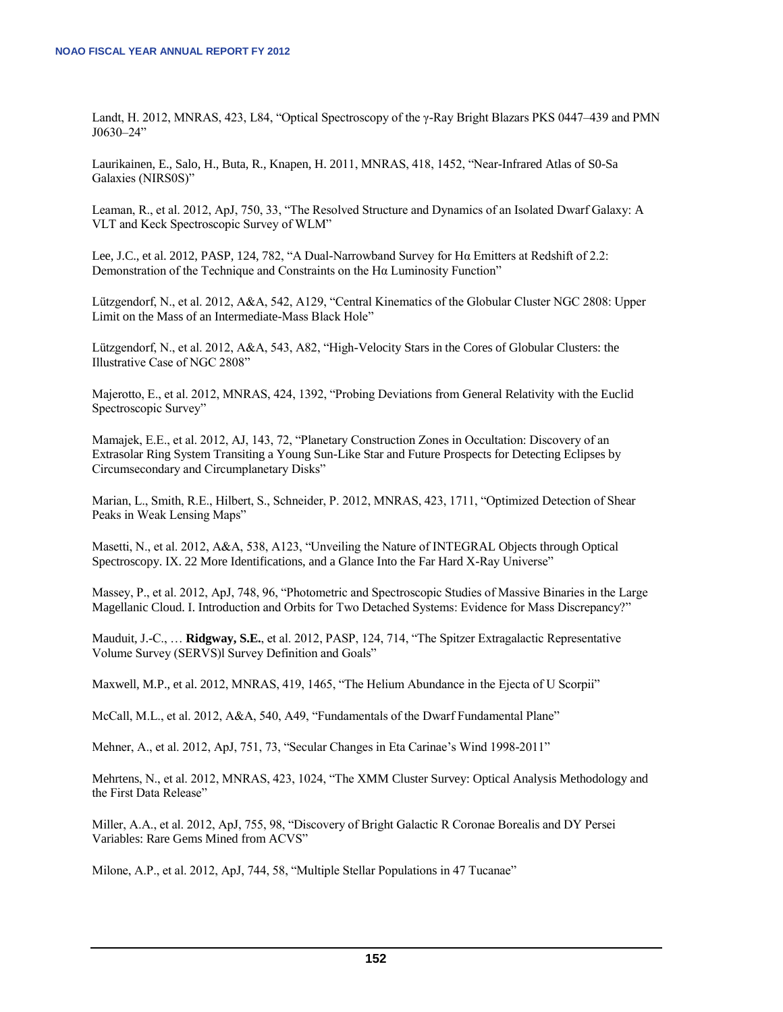Landt, H. 2012, MNRAS, 423, L84, "Optical Spectroscopy of the γ-Ray Bright Blazars PKS 0447–439 and PMN J0630‒24"

Laurikainen, E., Salo, H., Buta, R., Knapen, H. 2011, MNRAS, 418, 1452, "Near-Infrared Atlas of S0-Sa Galaxies (NIRS0S)"

Leaman, R., et al. 2012, ApJ, 750, 33, "The Resolved Structure and Dynamics of an Isolated Dwarf Galaxy: A VLT and Keck Spectroscopic Survey of WLM"

Lee, J.C., et al. 2012, PASP, 124, 782, "A Dual-Narrowband Survey for Hα Emitters at Redshift of 2.2: Demonstration of the Technique and Constraints on the Hα Luminosity Function"

Lützgendorf, N., et al. 2012, A&A, 542, A129, "Central Kinematics of the Globular Cluster NGC 2808: Upper Limit on the Mass of an Intermediate-Mass Black Hole"

Lützgendorf, N., et al. 2012, A&A, 543, A82, "High-Velocity Stars in the Cores of Globular Clusters: the Illustrative Case of NGC 2808"

Majerotto, E., et al. 2012, MNRAS, 424, 1392, "Probing Deviations from General Relativity with the Euclid Spectroscopic Survey"

Mamajek, E.E., et al. 2012, AJ, 143, 72, "Planetary Construction Zones in Occultation: Discovery of an Extrasolar Ring System Transiting a Young Sun-Like Star and Future Prospects for Detecting Eclipses by Circumsecondary and Circumplanetary Disks"

Marian, L., Smith, R.E., Hilbert, S., Schneider, P. 2012, MNRAS, 423, 1711, "Optimized Detection of Shear Peaks in Weak Lensing Maps"

Masetti, N., et al. 2012, A&A, 538, A123, "Unveiling the Nature of INTEGRAL Objects through Optical Spectroscopy. IX. 22 More Identifications, and a Glance Into the Far Hard X-Ray Universe"

Massey, P., et al. 2012, ApJ, 748, 96, "Photometric and Spectroscopic Studies of Massive Binaries in the Large Magellanic Cloud. I. Introduction and Orbits for Two Detached Systems: Evidence for Mass Discrepancy?"

Mauduit, J.-C., … **Ridgway, S.E.**, et al. 2012, PASP, 124, 714, "The Spitzer Extragalactic Representative Volume Survey (SERVS)l Survey Definition and Goals"

Maxwell, M.P., et al. 2012, MNRAS, 419, 1465, "The Helium Abundance in the Ejecta of U Scorpii"

McCall, M.L., et al. 2012, A&A, 540, A49, "Fundamentals of the Dwarf Fundamental Plane"

Mehner, A., et al. 2012, ApJ, 751, 73, "Secular Changes in Eta Carinae's Wind 1998-2011"

Mehrtens, N., et al. 2012, MNRAS, 423, 1024, "The XMM Cluster Survey: Optical Analysis Methodology and the First Data Release"

Miller, A.A., et al. 2012, ApJ, 755, 98, "Discovery of Bright Galactic R Coronae Borealis and DY Persei Variables: Rare Gems Mined from ACVS"

Milone, A.P., et al. 2012, ApJ, 744, 58, "Multiple Stellar Populations in 47 Tucanae"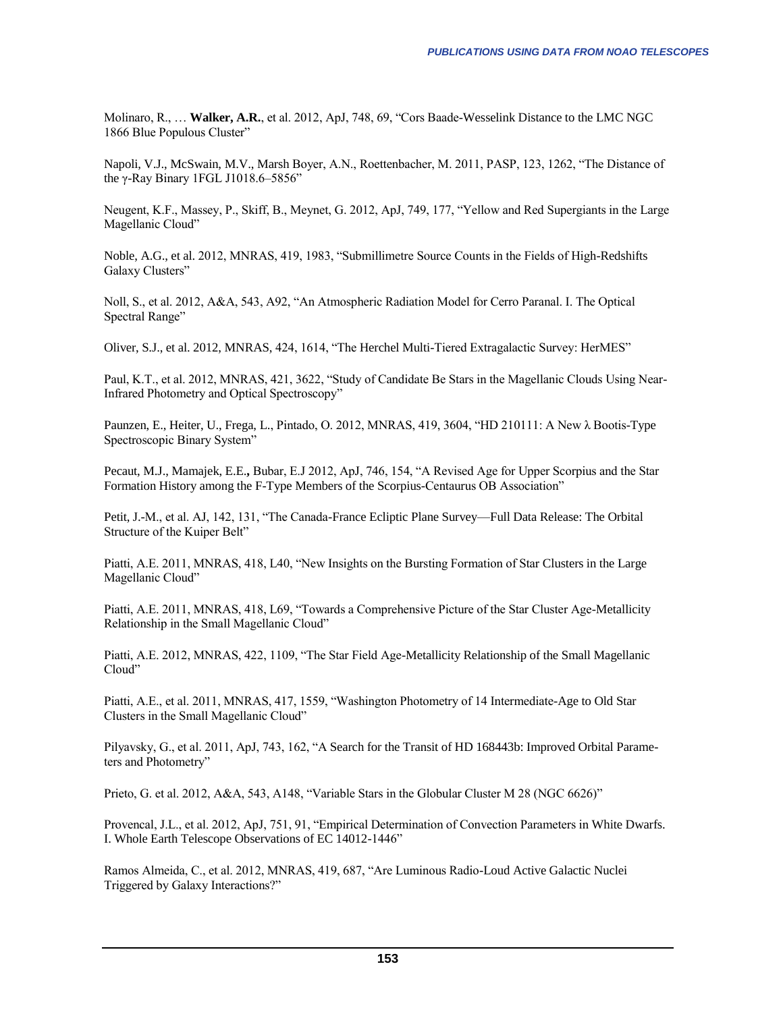Molinaro, R., … **Walker, A.R.**, et al. 2012, ApJ, 748, 69, "Cors Baade-Wesselink Distance to the LMC NGC 1866 Blue Populous Cluster"

Napoli, V.J., McSwain, M.V., Marsh Boyer, A.N., Roettenbacher, M. 2011, PASP, 123, 1262, "The Distance of the γ-Ray Binary 1FGL J1018.6–5856"

Neugent, K.F., Massey, P., Skiff, B., Meynet, G. 2012, ApJ, 749, 177, "Yellow and Red Supergiants in the Large Magellanic Cloud"

Noble, A.G., et al. 2012, MNRAS, 419, 1983, "Submillimetre Source Counts in the Fields of High-Redshifts Galaxy Clusters"

Noll, S., et al. 2012, A&A, 543, A92, "An Atmospheric Radiation Model for Cerro Paranal. I. The Optical Spectral Range"

Oliver, S.J., et al. 2012, MNRAS, 424, 1614, "The Herchel Multi-Tiered Extragalactic Survey: HerMES"

Paul, K.T., et al. 2012, MNRAS, 421, 3622, "Study of Candidate Be Stars in the Magellanic Clouds Using Near-Infrared Photometry and Optical Spectroscopy"

Paunzen, E., Heiter, U., Frega, L., Pintado, O. 2012, MNRAS, 419, 3604, "HD 210111: A New λ Bootis-Type Spectroscopic Binary System"

Pecaut, M.J., Mamajek, E.E.**,** Bubar, E.J 2012, ApJ, 746, 154, "A Revised Age for Upper Scorpius and the Star Formation History among the F-Type Members of the Scorpius-Centaurus OB Association"

Petit, J.-M., et al. AJ, 142, 131, "The Canada-France Ecliptic Plane Survey—Full Data Release: The Orbital Structure of the Kuiper Belt"

Piatti, A.E. 2011, MNRAS, 418, L40, "New Insights on the Bursting Formation of Star Clusters in the Large Magellanic Cloud"

Piatti, A.E. 2011, MNRAS, 418, L69, "Towards a Comprehensive Picture of the Star Cluster Age-Metallicity Relationship in the Small Magellanic Cloud"

Piatti, A.E. 2012, MNRAS, 422, 1109, "The Star Field Age-Metallicity Relationship of the Small Magellanic Cloud"

Piatti, A.E., et al. 2011, MNRAS, 417, 1559, "Washington Photometry of 14 Intermediate-Age to Old Star Clusters in the Small Magellanic Cloud"

Pilyavsky, G., et al. 2011, ApJ, 743, 162, "A Search for the Transit of HD 168443b: Improved Orbital Parameters and Photometry"

Prieto, G. et al. 2012, A&A, 543, A148, "Variable Stars in the Globular Cluster M 28 (NGC 6626)"

Provencal, J.L., et al. 2012, ApJ, 751, 91, "Empirical Determination of Convection Parameters in White Dwarfs. I. Whole Earth Telescope Observations of EC 14012-1446"

Ramos Almeida, C., et al. 2012, MNRAS, 419, 687, "Are Luminous Radio-Loud Active Galactic Nuclei Triggered by Galaxy Interactions?"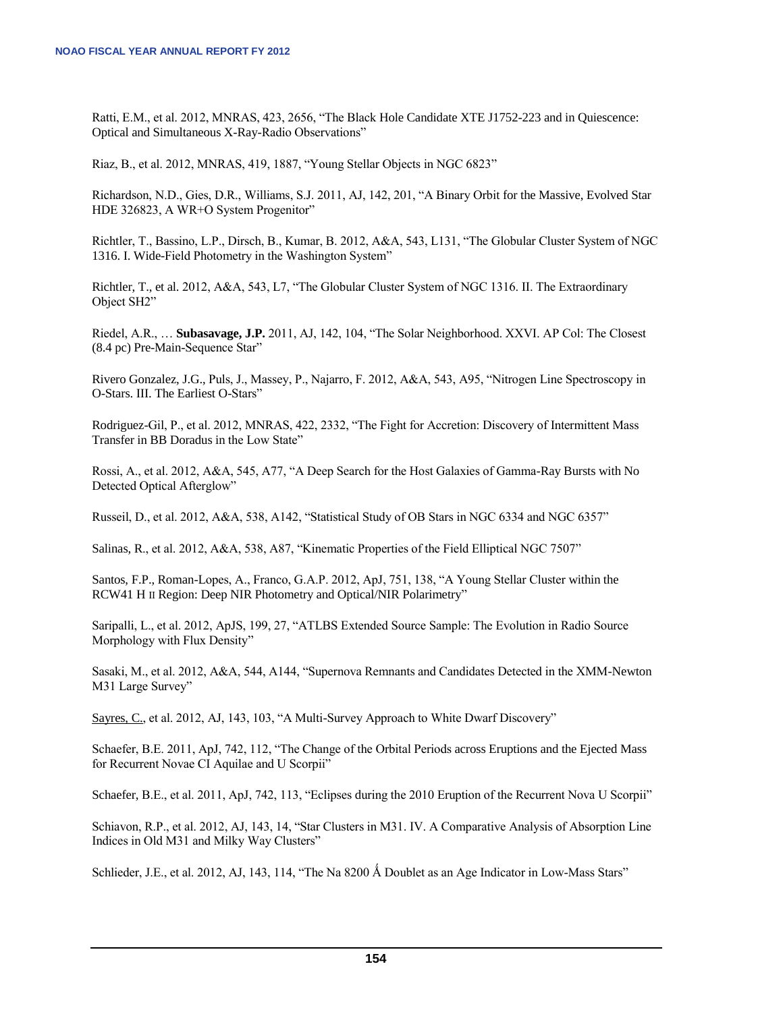Ratti, E.M., et al. 2012, MNRAS, 423, 2656, "The Black Hole Candidate XTE J1752-223 and in Quiescence: Optical and Simultaneous X-Ray-Radio Observations"

Riaz, B., et al. 2012, MNRAS, 419, 1887, "Young Stellar Objects in NGC 6823"

Richardson, N.D., Gies, D.R., Williams, S.J. 2011, AJ, 142, 201, "A Binary Orbit for the Massive, Evolved Star HDE 326823, A WR+O System Progenitor"

Richtler, T., Bassino, L.P., Dirsch, B., Kumar, B. 2012, A&A, 543, L131, "The Globular Cluster System of NGC 1316. I. Wide-Field Photometry in the Washington System"

Richtler, T., et al. 2012, A&A, 543, L7, "The Globular Cluster System of NGC 1316. II. The Extraordinary Object SH2"

Riedel, A.R., … **Subasavage, J.P.** 2011, AJ, 142, 104, "The Solar Neighborhood. XXVI. AP Col: The Closest (8.4 pc) Pre-Main-Sequence Star"

Rivero Gonzalez, J.G., Puls, J., Massey, P., Najarro, F. 2012, A&A, 543, A95, "Nitrogen Line Spectroscopy in O-Stars. III. The Earliest O-Stars"

Rodriguez-Gil, P., et al. 2012, MNRAS, 422, 2332, "The Fight for Accretion: Discovery of Intermittent Mass Transfer in BB Doradus in the Low State"

Rossi, A., et al. 2012, A&A, 545, A77, "A Deep Search for the Host Galaxies of Gamma-Ray Bursts with No Detected Optical Afterglow"

Russeil, D., et al. 2012, A&A, 538, A142, "Statistical Study of OB Stars in NGC 6334 and NGC 6357"

Salinas, R., et al. 2012, A&A, 538, A87, "Kinematic Properties of the Field Elliptical NGC 7507"

Santos, F.P., Roman-Lopes, A., Franco, G.A.P. 2012, ApJ, 751, 138, "A Young Stellar Cluster within the RCW41 H II Region: Deep NIR Photometry and Optical/NIR Polarimetry"

Saripalli, L., et al. 2012, ApJS, 199, 27, "ATLBS Extended Source Sample: The Evolution in Radio Source Morphology with Flux Density"

Sasaki, M., et al. 2012, A&A, 544, A144, "Supernova Remnants and Candidates Detected in the XMM-Newton M31 Large Survey"

Sayres, C., et al. 2012, AJ, 143, 103, "A Multi-Survey Approach to White Dwarf Discovery"

Schaefer, B.E. 2011, ApJ, 742, 112, "The Change of the Orbital Periods across Eruptions and the Ejected Mass for Recurrent Novae CI Aquilae and U Scorpii"

Schaefer, B.E., et al. 2011, ApJ, 742, 113, "Eclipses during the 2010 Eruption of the Recurrent Nova U Scorpii"

Schiavon, R.P., et al. 2012, AJ, 143, 14, "Star Clusters in M31. IV. A Comparative Analysis of Absorption Line Indices in Old M31 and Milky Way Clusters"

Schlieder, J.E., et al. 2012, AJ, 143, 114, "The Na 8200 Å Doublet as an Age Indicator in Low-Mass Stars"